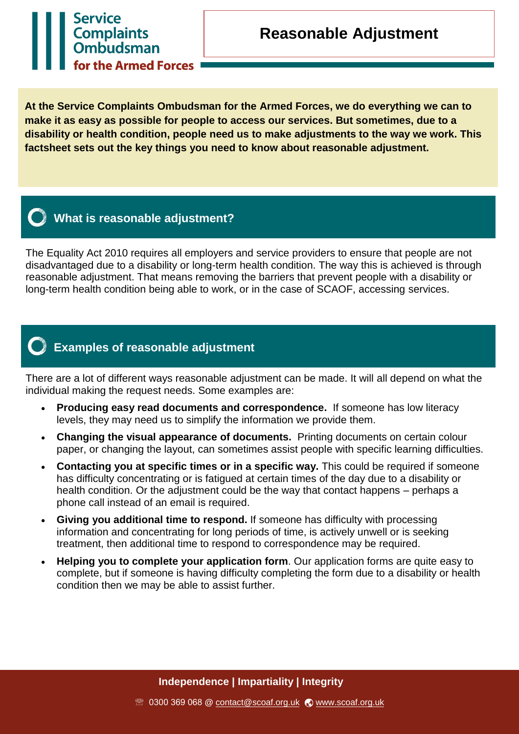# **Service** Complaints<br>
Ombudsman for the Armed Forces

**At the Service Complaints Ombudsman for the Armed Forces, we do everything we can to make it as easy as possible for people to access our services. But sometimes, due to a disability or health condition, people need us to make adjustments to the way we work. This factsheet sets out the key things you need to know about reasonable adjustment.**



### **What is reasonable adjustment?**

The Equality Act 2010 requires all employers and service providers to ensure that people are not disadvantaged due to a disability or long-term health condition. The way this is achieved is through reasonable adjustment. That means removing the barriers that prevent people with a disability or long-term health condition being able to work, or in the case of SCAOF, accessing services.

## **Examples of reasonable adjustment**

There are a lot of different ways reasonable adjustment can be made. It will all depend on what the individual making the request needs. Some examples are:

- **Producing easy read documents and correspondence.** If someone has low literacy levels, they may need us to simplify the information we provide them.
- **Changing the visual appearance of documents.** Printing documents on certain colour paper, or changing the layout, can sometimes assist people with specific learning difficulties.
- **Contacting you at specific times or in a specific way.** This could be required if someone has difficulty concentrating or is fatigued at certain times of the day due to a disability or health condition. Or the adjustment could be the way that contact happens – perhaps a phone call instead of an email is required.
- **Giving you additional time to respond.** If someone has difficulty with processing information and concentrating for long periods of time, is actively unwell or is seeking treatment, then additional time to respond to correspondence may be required.
- **Helping you to complete your application form**. Our application forms are quite easy to complete, but if someone is having difficulty completing the form due to a disability or health condition then we may be able to assist further.

**Independence | Impartiality | Integrity**